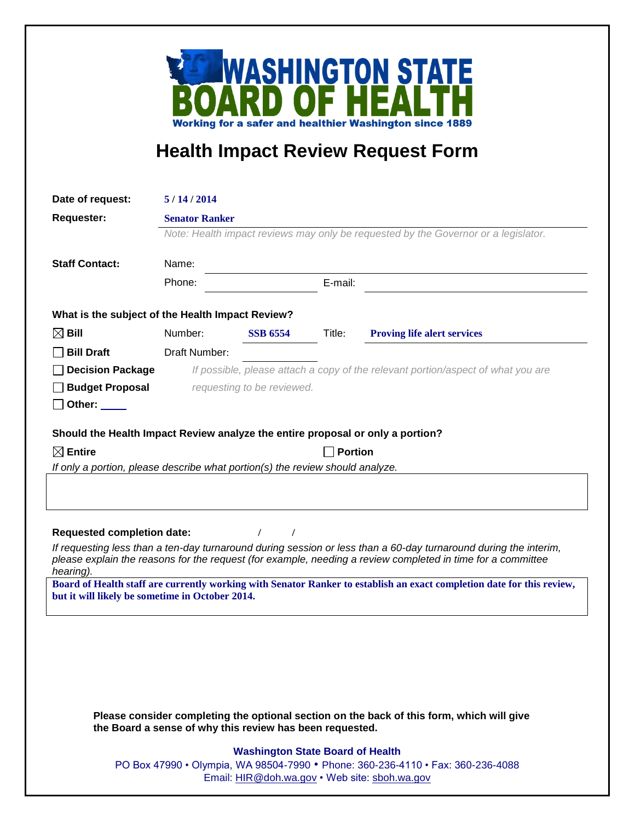

## **Health Impact Review Request Form**

| Date of request:                                                                                                                                                                                                                             | 5/14/2014                                                                                                                        |                 |                |                                    |  |
|----------------------------------------------------------------------------------------------------------------------------------------------------------------------------------------------------------------------------------------------|----------------------------------------------------------------------------------------------------------------------------------|-----------------|----------------|------------------------------------|--|
| <b>Requester:</b>                                                                                                                                                                                                                            | <b>Senator Ranker</b>                                                                                                            |                 |                |                                    |  |
|                                                                                                                                                                                                                                              | Note: Health impact reviews may only be requested by the Governor or a legislator.                                               |                 |                |                                    |  |
|                                                                                                                                                                                                                                              |                                                                                                                                  |                 |                |                                    |  |
| <b>Staff Contact:</b>                                                                                                                                                                                                                        | Name:                                                                                                                            |                 |                |                                    |  |
|                                                                                                                                                                                                                                              | Phone:                                                                                                                           |                 | E-mail:        |                                    |  |
| What is the subject of the Health Impact Review?                                                                                                                                                                                             |                                                                                                                                  |                 |                |                                    |  |
| $\boxtimes$ Bill                                                                                                                                                                                                                             | Number:                                                                                                                          | <b>SSB 6554</b> | Title:         | <b>Proving life alert services</b> |  |
| <b>Bill Draft</b>                                                                                                                                                                                                                            | Draft Number:                                                                                                                    |                 |                |                                    |  |
| <b>Decision Package</b>                                                                                                                                                                                                                      | If possible, please attach a copy of the relevant portion/aspect of what you are                                                 |                 |                |                                    |  |
| <b>Budget Proposal</b>                                                                                                                                                                                                                       | requesting to be reviewed.                                                                                                       |                 |                |                                    |  |
| Other: $\_\_$                                                                                                                                                                                                                                |                                                                                                                                  |                 |                |                                    |  |
| Should the Health Impact Review analyze the entire proposal or only a portion?                                                                                                                                                               |                                                                                                                                  |                 |                |                                    |  |
| $\boxtimes$ Entire                                                                                                                                                                                                                           |                                                                                                                                  |                 | <b>Portion</b> |                                    |  |
| If only a portion, please describe what portion(s) the review should analyze.                                                                                                                                                                |                                                                                                                                  |                 |                |                                    |  |
|                                                                                                                                                                                                                                              |                                                                                                                                  |                 |                |                                    |  |
|                                                                                                                                                                                                                                              |                                                                                                                                  |                 |                |                                    |  |
| <b>Requested completion date:</b>                                                                                                                                                                                                            |                                                                                                                                  |                 |                |                                    |  |
| If requesting less than a ten-day turnaround during session or less than a 60-day turnaround during the interim,<br>please explain the reasons for the request (for example, needing a review completed in time for a committee<br>hearing). |                                                                                                                                  |                 |                |                                    |  |
| Board of Health staff are currently working with Senator Ranker to establish an exact completion date for this review,                                                                                                                       |                                                                                                                                  |                 |                |                                    |  |
| but it will likely be sometime in October 2014.                                                                                                                                                                                              |                                                                                                                                  |                 |                |                                    |  |
|                                                                                                                                                                                                                                              |                                                                                                                                  |                 |                |                                    |  |
|                                                                                                                                                                                                                                              |                                                                                                                                  |                 |                |                                    |  |
|                                                                                                                                                                                                                                              |                                                                                                                                  |                 |                |                                    |  |
|                                                                                                                                                                                                                                              |                                                                                                                                  |                 |                |                                    |  |
|                                                                                                                                                                                                                                              |                                                                                                                                  |                 |                |                                    |  |
| Please consider completing the optional section on the back of this form, which will give<br>the Board a sense of why this review has been requested.                                                                                        |                                                                                                                                  |                 |                |                                    |  |
| <b>Washington State Board of Health</b>                                                                                                                                                                                                      |                                                                                                                                  |                 |                |                                    |  |
|                                                                                                                                                                                                                                              | PO Box 47990 • Olympia, WA 98504-7990 • Phone: 360-236-4110 • Fax: 360-236-4088<br>Email: HIR@doh.wa.gov • Web site: sboh.wa.gov |                 |                |                                    |  |
|                                                                                                                                                                                                                                              |                                                                                                                                  |                 |                |                                    |  |